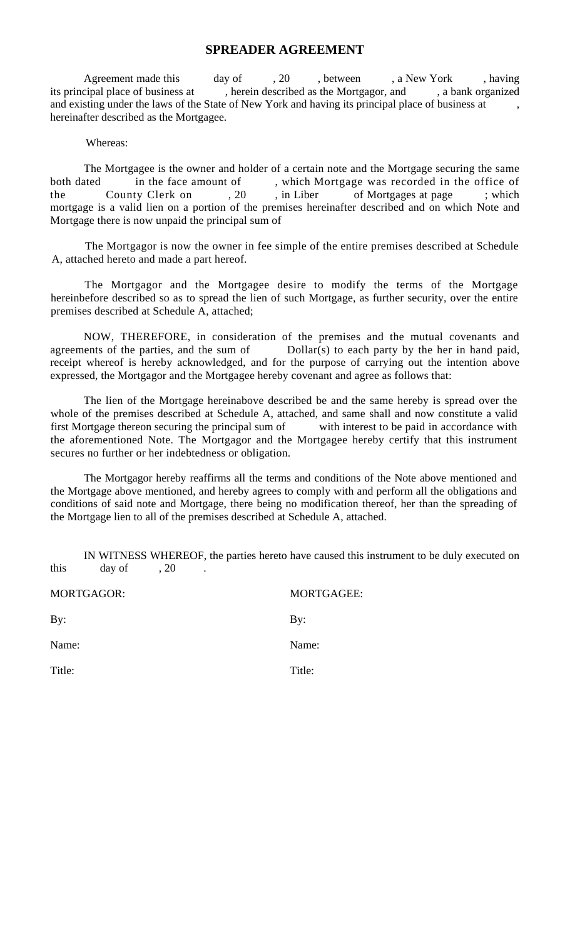## **SPREADER AGREEMENT**

Agreement made this day of , 20 , between , a New York , having its principal place of business at , herein described as the Mortgagor, and , a bank organized and existing under the laws of the State of New York and having its principal place of business at hereinafter described as the Mortgagee.

## Whereas:

The Mortgagee is the owner and holder of a certain note and the Mortgage securing the same both dated in the face amount of , which Mortgage was recorded in the office of the County Clerk on , 20 , in Liber of Mortgages at page ; which the County Clerk on , 20, in Liber of Mortgages at page ; which mortgage is a valid lien on a portion of the premises hereinafter described and on which Note and Mortgage there is now unpaid the principal sum of

The Mortgagor is now the owner in fee simple of the entire premises described at Schedule A, attached hereto and made a part hereof.

The Mortgagor and the Mortgagee desire to modify the terms of the Mortgage hereinbefore described so as to spread the lien of such Mortgage, as further security, over the entire premises described at Schedule A, attached;

NOW, THEREFORE, in consideration of the premises and the mutual covenants and agreements of the parties, and the sum of Dollar(s) to each party by the her in hand paid, receipt whereof is hereby acknowledged, and for the purpose of carrying out the intention above expressed, the Mortgagor and the Mortgagee hereby covenant and agree as follows that:

The lien of the Mortgage hereinabove described be and the same hereby is spread over the whole of the premises described at Schedule A, attached, and same shall and now constitute a valid first Mortgage thereon securing the principal sum of with interest to be paid in accordance with the aforementioned Note. The Mortgagor and the Mortgagee hereby certify that this instrument secures no further or her indebtedness or obligation.

The Mortgagor hereby reaffirms all the terms and conditions of the Note above mentioned and the Mortgage above mentioned, and hereby agrees to comply with and perform all the obligations and conditions of said note and Mortgage, there being no modification thereof, her than the spreading of the Mortgage lien to all of the premises described at Schedule A, attached.

IN WITNESS WHEREOF, the parties hereto have caused this instrument to be duly executed on this day of , 20

| MORTGAGOR: | <b>MORTGAGEE:</b> |
|------------|-------------------|
| By:        | By:               |
| Name:      | Name:             |
| Title:     | Title:            |